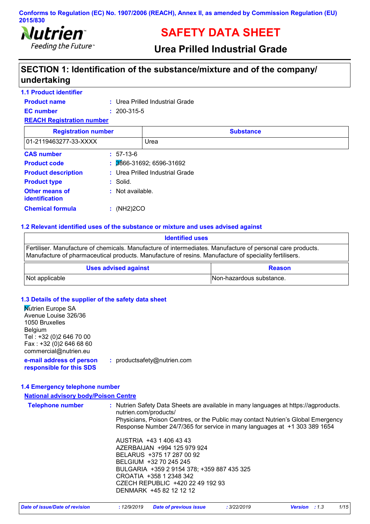

# **SAFETY DATA SHEET**

# **Urea Prilled Industrial Grade**

# **SECTION 1: Identification of the substance/mixture and of the company/ undertaking**

### **1.1 Product identifier**

| <b>Product name</b>              |  | : Urea Prilled Industrial Grade |
|----------------------------------|--|---------------------------------|
| <b>EC</b> number                 |  | $: 200 - 315 - 5$               |
| <b>REACH Registration number</b> |  |                                 |

| <b>Registration number</b>              | <b>Substance</b>                |
|-----------------------------------------|---------------------------------|
| 01-2119463277-33-XXXX                   | Urea                            |
| <b>CAS number</b>                       | $: 57-13-6$                     |
| <b>Product code</b>                     | 3866-31692; 6596-31692<br>÷.    |
| <b>Product description</b>              | : Urea Prilled Industrial Grade |
| <b>Product type</b>                     | $:$ Solid.                      |
| <b>Other means of</b><br>identification | $:$ Not available.              |
| <b>Chemical formula</b>                 | (NH2)2CO                        |

#### **1.2 Relevant identified uses of the substance or mixture and uses advised against**

| <b>Identified uses</b>                                                                                                                                                                                              |                          |  |
|---------------------------------------------------------------------------------------------------------------------------------------------------------------------------------------------------------------------|--------------------------|--|
| Fertiliser. Manufacture of chemicals. Manufacture of intermediates. Manufacture of personal care products.<br>Manufacture of pharmaceutical products. Manufacture of resins. Manufacture of speciality fertilisers. |                          |  |
| <b>Uses advised against</b><br><b>Reason</b>                                                                                                                                                                        |                          |  |
| Not applicable                                                                                                                                                                                                      | Non-hazardous substance. |  |

### **1.3 Details of the supplier of the safety data sheet**

| <b>Nutrien Europe SA</b>                             |                             |
|------------------------------------------------------|-----------------------------|
| Avenue Louise 326/36                                 |                             |
| 1050 Bruxelles                                       |                             |
| <b>Belgium</b>                                       |                             |
| Tel: +32 (0)2 646 70 00                              |                             |
| Fax: +32 (0)2 646 68 60                              |                             |
| commercial@nutrien.eu                                |                             |
| e-mail address of person<br>responsible for this SDS | : productsafety@nutrien.com |

#### **1.4 Emergency telephone number**

### **National advisory body/Poison Centre**

| <b>Telephone number</b> | : Nutrien Safety Data Sheets are available in many languages at https://agproducts.<br>nutrien.com/products/<br>Physicians, Poison Centres, or the Public may contact Nutrien's Global Emergency<br>Response Number 24/7/365 for service in many languages at +1 303 389 1654 |
|-------------------------|-------------------------------------------------------------------------------------------------------------------------------------------------------------------------------------------------------------------------------------------------------------------------------|
|                         | AUSTRIA +43 1 406 43 43<br>AZERBAIJAN +994 125 979 924<br>BELARUS +375 17 287 00 92<br>BELGIUM +32 70 245 245<br>BULGARIA +359 2 9154 378; +359 887 435 325<br>CROATIA +358 1 2348 342<br>CZECH REPUBLIC +420 22 49 192 93<br>DENMARK +45 82 12 12 12                         |

| Date of issue/Date of revision | : 12/9/2019 Date of previous issue | 3/22/2019 | <b>Version</b> : 1.3 | 1/15 |
|--------------------------------|------------------------------------|-----------|----------------------|------|
|--------------------------------|------------------------------------|-----------|----------------------|------|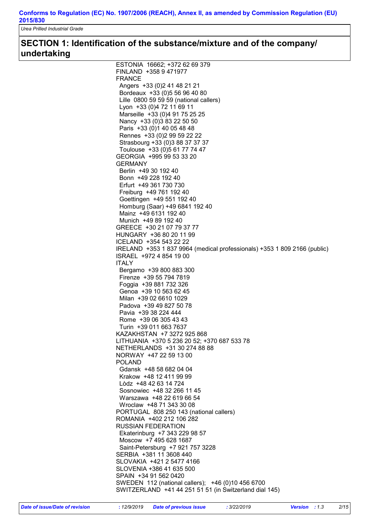*Urea Prilled Industrial Grade*

### **SECTION 1: Identification of the substance/mixture and of the company/ undertaking**

| ESTONIA 16662; +372 62 69 379                                            |
|--------------------------------------------------------------------------|
| FINLAND +358 9 471977                                                    |
| <b>FRANCE</b>                                                            |
| Angers +33 (0) 2 41 48 21 21                                             |
| Bordeaux +33 (0) 5 56 96 40 80                                           |
| Lille 0800 59 59 59 (national callers)                                   |
| Lyon +33 (0)4 72 11 69 11                                                |
| Marseille +33 (0)4 91 75 25 25                                           |
| Nancy +33 (0) 3 83 22 50 50                                              |
| Paris +33 (0) 1 40 05 48 48                                              |
| Rennes +33 (0) 2 99 59 22 22                                             |
| Strasbourg +33 (0)3 88 37 37 37                                          |
| Toulouse +33 (0)5 61 77 74 47                                            |
| GEORGIA +995 99 53 33 20                                                 |
| <b>GERMANY</b>                                                           |
| Berlin +49 30 192 40                                                     |
| Bonn +49 228 192 40                                                      |
| Erfurt +49 361 730 730                                                   |
| Freiburg +49 761 192 40                                                  |
| Goettingen +49 551 192 40                                                |
| Homburg (Saar) +49 6841 192 40                                           |
| Mainz +49 6131 192 40                                                    |
| Munich +49 89 192 40                                                     |
| GREECE +30 21 07 79 37 77                                                |
| HUNGARY +36 80 20 11 99                                                  |
| ICELAND +354 543 22 22                                                   |
| IRELAND +353 1 837 9964 (medical professionals) +353 1 809 2166 (public) |
| ISRAEL +972 4 854 19 00                                                  |
| <b>ITALY</b><br>Bergamo +39 800 883 300                                  |
| Firenze +39 55 794 7819                                                  |
| Foggia +39 881 732 326                                                   |
| Genoa +39 10 563 62 45                                                   |
| Milan +39 02 6610 1029                                                   |
| Padova +39 49 827 50 78                                                  |
| Pavia +39 38 224 444                                                     |
| Rome +39 06 305 43 43                                                    |
| Turin +39 011 663 7637                                                   |
| KAZAKHSTAN +7 3272 925 868                                               |
| LITHUANIA +370 5 236 20 52; +370 687 533 78                              |
| NETHERLANDS +31 30 274 88 88                                             |
| NORWAY +47 22 59 13 00                                                   |
| <b>POLAND</b>                                                            |
| Gdansk +48 58 682 04 04                                                  |
| Krakow +48 12 411 99 99                                                  |
| Lòdz +48 42 63 14 724                                                    |
| Sosnowiec +48 32 266 11 45                                               |
| Warszawa +48 22 619 66 54                                                |
| Wroclaw +48 71 343 30 08                                                 |
| PORTUGAL 808 250 143 (national callers)                                  |
| ROMANIA +402 212 106 282                                                 |
| <b>RUSSIAN FEDERATION</b>                                                |
| Ekaterinburg +7 343 229 98 57<br>Moscow +7 495 628 1687                  |
| Saint-Petersburg +7 921 757 3228                                         |
| SERBIA +381 11 3608 440                                                  |
| SLOVAKIA +421 2 5477 4166                                                |
| SLOVENIA +386 41 635 500                                                 |
| SPAIN +34 91 562 0420                                                    |
| SWEDEN 112 (national callers); +46 (0)10 456 6700                        |
| SWITZERLAND +41 44 251 51 51 (in Switzerland dial 145)                   |
|                                                                          |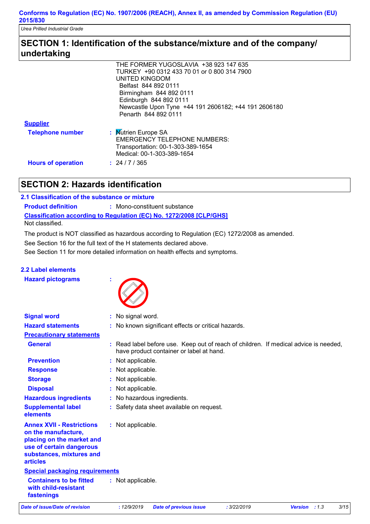*Urea Prilled Industrial Grade*

### **SECTION 1: Identification of the substance/mixture and of the company/ undertaking**

|                           | THE FORMER YUGOSLAVIA +38 923 147 635                |
|---------------------------|------------------------------------------------------|
|                           | TURKEY +90 0312 433 70 01 or 0 800 314 7900          |
|                           | UNITED KINGDOM                                       |
|                           | Belfast 844 892 0111                                 |
|                           | Birmingham 844 892 0111                              |
|                           | Edinburgh 844 892 0111                               |
|                           | Newcastle Upon Tyne +44 191 2606182; +44 191 2606180 |
|                           | Penarth 844 892 0111                                 |
| <b>Supplier</b>           |                                                      |
| <b>Telephone number</b>   | : Mutrien Europe SA                                  |
|                           | <b>EMERGENCY TELEPHONE NUMBERS:</b>                  |
|                           | Transportation: 00-1-303-389-1654                    |
|                           | Medical: 00-1-303-389-1654                           |
| <b>Hours of operation</b> | : 24/7/365                                           |

# **SECTION 2: Hazards identification**

### **2.1 Classification of the substance or mixture**

**Classification according to Regulation (EC) No. 1272/2008 [CLP/GHS] Product definition :** Mono-constituent substance

Not classified.

The product is NOT classified as hazardous according to Regulation (EC) 1272/2008 as amended.

See Section 16 for the full text of the H statements declared above.

See Section 11 for more detailed information on health effects and symptoms.

### **2.2 Label elements**

**Hazard pictograms :**



| <b>Signal word</b>                                                                                                                                              | : No signal word.                                                                                                                |
|-----------------------------------------------------------------------------------------------------------------------------------------------------------------|----------------------------------------------------------------------------------------------------------------------------------|
| <b>Hazard statements</b>                                                                                                                                        | : No known significant effects or critical hazards.                                                                              |
| <b>Precautionary statements</b>                                                                                                                                 |                                                                                                                                  |
| <b>General</b>                                                                                                                                                  | : Read label before use. Keep out of reach of children. If medical advice is needed,<br>have product container or label at hand. |
| <b>Prevention</b>                                                                                                                                               | : Not applicable.                                                                                                                |
| <b>Response</b>                                                                                                                                                 | : Not applicable.                                                                                                                |
| <b>Storage</b>                                                                                                                                                  | : Not applicable.                                                                                                                |
| <b>Disposal</b>                                                                                                                                                 | : Not applicable.                                                                                                                |
| <b>Hazardous ingredients</b>                                                                                                                                    | : No hazardous ingredients.                                                                                                      |
| <b>Supplemental label</b><br>elements                                                                                                                           | : Safety data sheet available on request.                                                                                        |
| <b>Annex XVII - Restrictions</b><br>on the manufacture,<br>placing on the market and<br>use of certain dangerous<br>substances, mixtures and<br><b>articles</b> | : Not applicable.                                                                                                                |
| <b>Special packaging requirements</b>                                                                                                                           |                                                                                                                                  |
| <b>Containers to be fitted</b><br>with child-resistant<br>fastenings                                                                                            | : Not applicable.                                                                                                                |
| <b>Date of issue/Date of revision</b>                                                                                                                           | 3/15<br>: 12/9/2019<br>: 3/22/2019<br><b>Date of previous issue</b><br>Version : 1.3                                             |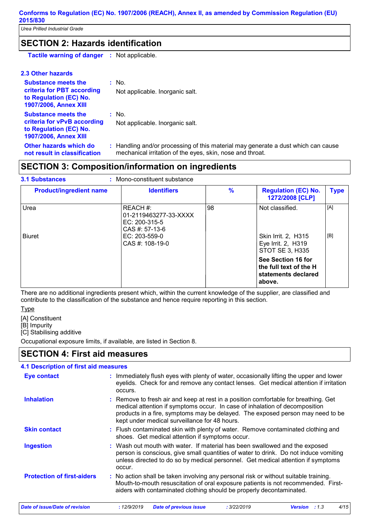*Urea Prilled Industrial Grade*

### **SECTION 2: Hazards identification**

**Tactile warning of danger :** Not applicable.

### **2.3 Other hazards**

| <b>Substance meets the</b><br>criteria for PBT according<br>to Regulation (EC) No.<br><b>1907/2006, Annex XIII</b> | $:$ No.<br>Not applicable. Inorganic salt.                                                                                                     |
|--------------------------------------------------------------------------------------------------------------------|------------------------------------------------------------------------------------------------------------------------------------------------|
| <b>Substance meets the</b><br>criteria for vPvB according<br>to Regulation (EC) No.<br>1907/2006, Annex XIII       | $:$ No.<br>Not applicable. Inorganic salt.                                                                                                     |
| Other hazards which do<br>not result in classification                                                             | : Handling and/or processing of this material may generate a dust which can cause<br>mechanical irritation of the eyes, skin, nose and throat. |

# **SECTION 3: Composition/information on ingredients**

#### **3.1 Substances**

### Mono-constituent substance **:**

| <b>Product/ingredient name</b> | <b>Identifiers</b>                                                                                           | $\frac{9}{6}$ | <b>Regulation (EC) No.</b><br>1272/2008 [CLP]                                   | <b>Type</b> |
|--------------------------------|--------------------------------------------------------------------------------------------------------------|---------------|---------------------------------------------------------------------------------|-------------|
| Urea<br><b>Biuret</b>          | REACH #:<br>01-2119463277-33-XXXX<br>$EC: 200-315-5$<br>CAS #: 57-13-6<br>EC: 203-559-0<br>$CAS$ #: 108-19-0 | 98            | Not classified.<br>Skin Irrit. 2, H315<br>Eye Irrit. 2, H319<br>STOT SE 3, H335 | [A]<br>[B]  |
|                                |                                                                                                              |               | See Section 16 for<br>the full text of the H<br>statements declared<br>above.   |             |

There are no additional ingredients present which, within the current knowledge of the supplier, are classified and contribute to the classification of the substance and hence require reporting in this section.

### **Type**

[A] Constituent

[B] Impurity

[C] Stabilising additive

Occupational exposure limits, if available, are listed in Section 8.

### **SECTION 4: First aid measures**

### **4.1 Description of first aid measures**

| <b>Eye contact</b>                | : Immediately flush eyes with plenty of water, occasionally lifting the upper and lower<br>eyelids. Check for and remove any contact lenses. Get medical attention if irritation<br>occurs.                                                                                                           |
|-----------------------------------|-------------------------------------------------------------------------------------------------------------------------------------------------------------------------------------------------------------------------------------------------------------------------------------------------------|
| <b>Inhalation</b>                 | : Remove to fresh air and keep at rest in a position comfortable for breathing. Get<br>medical attention if symptoms occur. In case of inhalation of decomposition<br>products in a fire, symptoms may be delayed. The exposed person may need to be<br>kept under medical surveillance for 48 hours. |
| <b>Skin contact</b>               | : Flush contaminated skin with plenty of water. Remove contaminated clothing and<br>shoes. Get medical attention if symptoms occur.                                                                                                                                                                   |
| <b>Ingestion</b>                  | : Wash out mouth with water. If material has been swallowed and the exposed<br>person is conscious, give small quantities of water to drink. Do not induce vomiting<br>unless directed to do so by medical personnel. Get medical attention if symptoms<br>occur.                                     |
| <b>Protection of first-aiders</b> | : No action shall be taken involving any personal risk or without suitable training.<br>Mouth-to-mouth resuscitation of oral exposure patients is not recommended. First-<br>aiders with contaminated clothing should be properly decontaminated.                                                     |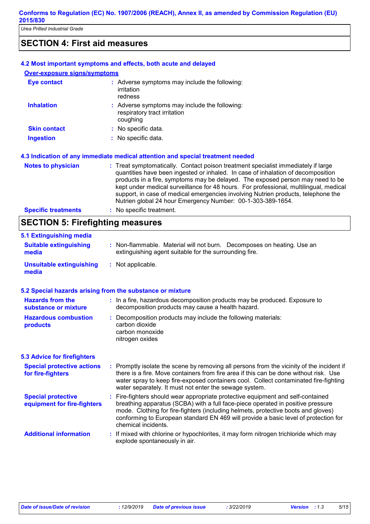### **SECTION 4: First aid measures**

|                                     | 4.2 Most important symptoms and effects, both acute and delayed                                                                                                                                                                                                                                                                                                                                                                                                                                      |
|-------------------------------------|------------------------------------------------------------------------------------------------------------------------------------------------------------------------------------------------------------------------------------------------------------------------------------------------------------------------------------------------------------------------------------------------------------------------------------------------------------------------------------------------------|
| <b>Over-exposure signs/symptoms</b> |                                                                                                                                                                                                                                                                                                                                                                                                                                                                                                      |
| Eye contact                         | : Adverse symptoms may include the following:<br>irritation<br>redness                                                                                                                                                                                                                                                                                                                                                                                                                               |
| <b>Inhalation</b>                   | : Adverse symptoms may include the following:<br>respiratory tract irritation<br>coughing                                                                                                                                                                                                                                                                                                                                                                                                            |
| <b>Skin contact</b>                 | : No specific data.                                                                                                                                                                                                                                                                                                                                                                                                                                                                                  |
| <b>Ingestion</b>                    | : No specific data.                                                                                                                                                                                                                                                                                                                                                                                                                                                                                  |
|                                     | 4.3 Indication of any immediate medical attention and special treatment needed                                                                                                                                                                                                                                                                                                                                                                                                                       |
| <b>Notes to physician</b>           | : Treat symptomatically. Contact poison treatment specialist immediately if large<br>quantities have been ingested or inhaled. In case of inhalation of decomposition<br>products in a fire, symptoms may be delayed. The exposed person may need to be<br>kept under medical surveillance for 48 hours. For professional, multilingual, medical<br>support, in case of medical emergencies involving Nutrien products, telephone the<br>Nutrien global 24 hour Emergency Number: 00-1-303-389-1654. |
| <b>Specific treatments</b>          | : No specific treatment.                                                                                                                                                                                                                                                                                                                                                                                                                                                                             |
|                                     |                                                                                                                                                                                                                                                                                                                                                                                                                                                                                                      |

# **SECTION 5: Firefighting measures**

| 5.1 Extinguishing media                                   |                                                                                                                                                                                                                                                                                                                                                                       |
|-----------------------------------------------------------|-----------------------------------------------------------------------------------------------------------------------------------------------------------------------------------------------------------------------------------------------------------------------------------------------------------------------------------------------------------------------|
| <b>Suitable extinguishing</b><br>media                    | : Non-flammable. Material will not burn. Decomposes on heating. Use an<br>extinguishing agent suitable for the surrounding fire.                                                                                                                                                                                                                                      |
| <b>Unsuitable extinguishing</b><br>media                  | : Not applicable.                                                                                                                                                                                                                                                                                                                                                     |
| 5.2 Special hazards arising from the substance or mixture |                                                                                                                                                                                                                                                                                                                                                                       |
| <b>Hazards from the</b><br>substance or mixture           | : In a fire, hazardous decomposition products may be produced. Exposure to<br>decomposition products may cause a health hazard.                                                                                                                                                                                                                                       |
| <b>Hazardous combustion</b><br>products                   | : Decomposition products may include the following materials:<br>carbon dioxide<br>carbon monoxide<br>nitrogen oxides                                                                                                                                                                                                                                                 |
| <b>5.3 Advice for firefighters</b>                        |                                                                                                                                                                                                                                                                                                                                                                       |
| <b>Special protective actions</b><br>for fire-fighters    | : Promptly isolate the scene by removing all persons from the vicinity of the incident if<br>there is a fire. Move containers from fire area if this can be done without risk. Use<br>water spray to keep fire-exposed containers cool. Collect contaminated fire-fighting<br>water separately. It must not enter the sewage system.                                  |
| <b>Special protective</b><br>equipment for fire-fighters  | : Fire-fighters should wear appropriate protective equipment and self-contained<br>breathing apparatus (SCBA) with a full face-piece operated in positive pressure<br>mode. Clothing for fire-fighters (including helmets, protective boots and gloves)<br>conforming to European standard EN 469 will provide a basic level of protection for<br>chemical incidents. |
| <b>Additional information</b>                             | : If mixed with chlorine or hypochlorites, it may form nitrogen trichloride which may<br>explode spontaneously in air.                                                                                                                                                                                                                                                |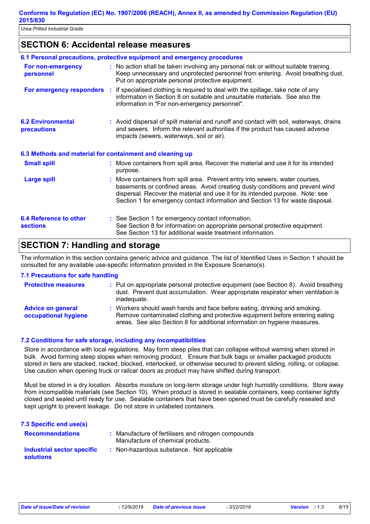### **SECTION 6: Accidental release measures**

|                                                          | 6.1 Personal precautions, protective equipment and emergency procedures                                                                                                                                                                                                                                                           |
|----------------------------------------------------------|-----------------------------------------------------------------------------------------------------------------------------------------------------------------------------------------------------------------------------------------------------------------------------------------------------------------------------------|
| For non-emergency<br>personnel                           | : No action shall be taken involving any personal risk or without suitable training.<br>Keep unnecessary and unprotected personnel from entering. Avoid breathing dust.<br>Put on appropriate personal protective equipment.                                                                                                      |
|                                                          | <b>For emergency responders</b> : If specialised clothing is required to deal with the spillage, take note of any<br>information in Section 8 on suitable and unsuitable materials. See also the<br>information in "For non-emergency personnel".                                                                                 |
| <b>6.2 Environmental</b><br><b>precautions</b>           | : Avoid dispersal of spilt material and runoff and contact with soil, waterways, drains<br>and sewers. Inform the relevant authorities if the product has caused adverse<br>impacts (sewers, waterways, soil or air).                                                                                                             |
| 6.3 Methods and material for containment and cleaning up |                                                                                                                                                                                                                                                                                                                                   |
| <b>Small spill</b>                                       | : Move containers from spill area. Recover the material and use it for its intended<br>purpose.                                                                                                                                                                                                                                   |
| <b>Large spill</b>                                       | : Move containers from spill area. Prevent entry into sewers, water courses,<br>basements or confined areas. Avoid creating dusty conditions and prevent wind<br>dispersal. Recover the material and use it for its intended purpose. Note: see<br>Section 1 for emergency contact information and Section 13 for waste disposal. |
| 6.4 Reference to other<br><b>sections</b>                | : See Section 1 for emergency contact information.<br>See Section 8 for information on appropriate personal protective equipment.<br>See Section 13 for additional waste treatment information.                                                                                                                                   |

### **SECTION 7: Handling and storage**

The information in this section contains generic advice and guidance. The list of Identified Uses in Section 1 should be consulted for any available use-specific information provided in the Exposure Scenario(s).

### **7.1 Precautions for safe handling**

| <b>Protective measures</b>                       | : Put on appropriate personal protective equipment (see Section 8). Avoid breathing<br>dust. Prevent dust accumulation. Wear appropriate respirator when ventilation is<br>inadequate.                                                 |
|--------------------------------------------------|----------------------------------------------------------------------------------------------------------------------------------------------------------------------------------------------------------------------------------------|
| <b>Advice on general</b><br>occupational hygiene | : Workers should wash hands and face before eating, drinking and smoking.<br>Remove contaminated clothing and protective equipment before entering eating<br>areas. See also Section 8 for additional information on hygiene measures. |

### **7.2 Conditions for safe storage, including any incompatibilities**

Store in accordance with local regulations. May form steep piles that can collapse without warning when stored in bulk. Avoid forming steep slopes when removing product. Ensure that bulk bags or smaller packaged products stored in tiers are stacked, racked, blocked, interlocked, or otherwise secured to prevent sliding, rolling, or collapse. Use caution when opening truck or railcar doors as product may have shifted during transport.

Must be stored in a dry location. Absorbs moisture on long-term storage under high humidity conditions. Store away from incompatible materials (see Section 10). When product is stored in sealable containers, keep container tightly closed and sealed until ready for use. Sealable containers that have been opened must be carefully resealed and kept upright to prevent leakage. Do not store in unlabeled containers.

| 7.3 Specific end use(s)                        |                                                                                          |
|------------------------------------------------|------------------------------------------------------------------------------------------|
| <b>Recommendations</b>                         | : Manufacture of fertilisers and nitrogen compounds<br>Manufacture of chemical products. |
| Industrial sector specific<br><b>solutions</b> | : Non-hazardous substance. Not applicable                                                |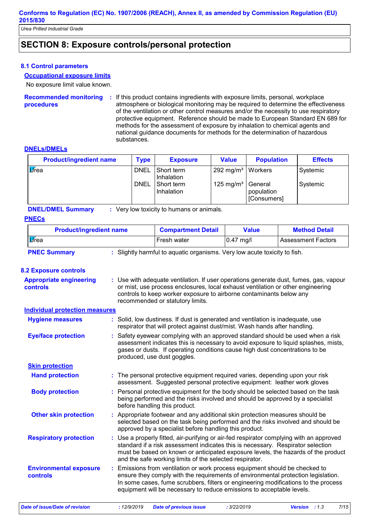*Urea Prilled Industrial Grade*

### **SECTION 8: Exposure controls/personal protection**

### **8.1 Control parameters**

### **Occupational exposure limits**

No exposure limit value known.

**Recommended monitoring procedures :** If this product contains ingredients with exposure limits, personal, workplace atmosphere or biological monitoring may be required to determine the effectiveness of the ventilation or other control measures and/or the necessity to use respiratory protective equipment. Reference should be made to European Standard EN 689 for methods for the assessment of exposure by inhalation to chemical agents and national guidance documents for methods for the determination of hazardous substances.

#### **DNELs/DMELs**

| <b>Product/ingredient name</b> | Type | <b>Exposure</b>            | Value                 | <b>Population</b>                    | <b>Effects</b> |
|--------------------------------|------|----------------------------|-----------------------|--------------------------------------|----------------|
| <b>V</b> rea                   | DNEL | I Short term<br>Inhalation | 292 mg/m <sup>3</sup> | Workers                              | Systemic       |
|                                | DNEL | Short term<br>Inhalation   | 125 mg/m <sup>3</sup> | General<br>population<br>[Consumers] | Systemic       |

**DNEL/DMEL Summary :** Very low toxicity to humans or animals.

#### **PNECs**

| <b>Product/ingredient name</b>                                                                   | <b>Compartment Detail</b> | <b>Value</b> | <b>Method Detail</b>      |  |
|--------------------------------------------------------------------------------------------------|---------------------------|--------------|---------------------------|--|
| <b>V</b> rea                                                                                     | Fresh water               | $0.47$ mg/l  | <b>Assessment Factors</b> |  |
| : Slightly harmful to aquatic organisms. Very low acute toxicity to fish.<br><b>PNEC Summary</b> |                           |              |                           |  |

#### **8.2 Exposure controls**

| <b>Appropriate engineering</b><br>controls | : Use with adequate ventilation. If user operations generate dust, fumes, gas, vapour<br>or mist, use process enclosures, local exhaust ventilation or other engineering<br>controls to keep worker exposure to airborne contaminants below any<br>recommended or statutory limits.                                             |
|--------------------------------------------|---------------------------------------------------------------------------------------------------------------------------------------------------------------------------------------------------------------------------------------------------------------------------------------------------------------------------------|
| <b>Individual protection measures</b>      |                                                                                                                                                                                                                                                                                                                                 |
| <b>Hygiene measures</b>                    | : Solid, low dustiness. If dust is generated and ventilation is inadequate, use<br>respirator that will protect against dust/mist. Wash hands after handling.                                                                                                                                                                   |
| <b>Eye/face protection</b>                 | : Safety eyewear complying with an approved standard should be used when a risk<br>assessment indicates this is necessary to avoid exposure to liquid splashes, mists,<br>gases or dusts. If operating conditions cause high dust concentrations to be<br>produced, use dust goggles.                                           |
| <b>Skin protection</b>                     |                                                                                                                                                                                                                                                                                                                                 |
| <b>Hand protection</b>                     | : The personal protective equipment required varies, depending upon your risk<br>assessment. Suggested personal protective equipment: leather work gloves                                                                                                                                                                       |
| <b>Body protection</b>                     | : Personal protective equipment for the body should be selected based on the task<br>being performed and the risks involved and should be approved by a specialist<br>before handling this product.                                                                                                                             |
| <b>Other skin protection</b>               | : Appropriate footwear and any additional skin protection measures should be<br>selected based on the task being performed and the risks involved and should be<br>approved by a specialist before handling this product.                                                                                                       |
| <b>Respiratory protection</b>              | : Use a properly fitted, air-purifying or air-fed respirator complying with an approved<br>standard if a risk assessment indicates this is necessary. Respirator selection<br>must be based on known or anticipated exposure levels, the hazards of the product<br>and the safe working limits of the selected respirator.      |
| <b>Environmental exposure</b><br>controls  | : Emissions from ventilation or work process equipment should be checked to<br>ensure they comply with the requirements of environmental protection legislation.<br>In some cases, fume scrubbers, filters or engineering modifications to the process<br>equipment will be necessary to reduce emissions to acceptable levels. |

*Date of issue/Date of revision* **:** *12/9/2019 Date of previous issue : 3/22/2019 Version : 1.3 7/15*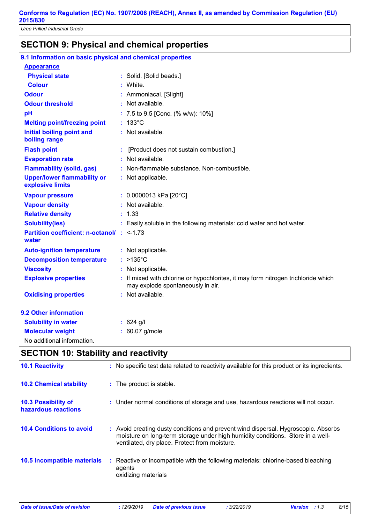### **SECTION 9: Physical and chemical properties**

| 9.1 Information on basic physical and chemical properties    |                                                                                                                      |
|--------------------------------------------------------------|----------------------------------------------------------------------------------------------------------------------|
| <b>Appearance</b>                                            |                                                                                                                      |
| <b>Physical state</b>                                        | : Solid. [Solid beads.]                                                                                              |
| <b>Colour</b>                                                | : White.                                                                                                             |
| <b>Odour</b>                                                 | : Ammoniacal. [Slight]                                                                                               |
| <b>Odour threshold</b>                                       | : Not available.                                                                                                     |
| pH                                                           | : 7.5 to 9.5 [Conc. (% w/w): 10%]                                                                                    |
| <b>Melting point/freezing point</b>                          | $: 133^{\circ}$ C                                                                                                    |
| <b>Initial boiling point and</b><br>boiling range            | : Not available.                                                                                                     |
| <b>Flash point</b>                                           | [Product does not sustain combustion.]                                                                               |
| <b>Evaporation rate</b>                                      | : Not available.                                                                                                     |
| <b>Flammability (solid, gas)</b>                             | : Non-flammable substance. Non-combustible.                                                                          |
| <b>Upper/lower flammability or</b><br>explosive limits       | : Not applicable.                                                                                                    |
| <b>Vapour pressure</b>                                       | $: 0.0000013$ kPa [20°C]                                                                                             |
| <b>Vapour density</b>                                        | : Not available.                                                                                                     |
| <b>Relative density</b>                                      | : 1.33                                                                                                               |
| <b>Solubility(ies)</b>                                       | : Easily soluble in the following materials: cold water and hot water.                                               |
| <b>Partition coefficient: n-octanol/: &lt;-1.73</b><br>water |                                                                                                                      |
| <b>Auto-ignition temperature</b>                             | : Not applicable.                                                                                                    |
| <b>Decomposition temperature</b>                             | $: >135^{\circ}C$                                                                                                    |
| <b>Viscosity</b>                                             | : Not applicable.                                                                                                    |
| <b>Explosive properties</b>                                  | If mixed with chlorine or hypochlorites, it may form nitrogen trichloride which<br>may explode spontaneously in air. |
| <b>Oxidising properties</b>                                  | : Not available.                                                                                                     |
| 9.2 Other information                                        |                                                                                                                      |
| <b>Solubility in water</b>                                   | $: 624$ g/l                                                                                                          |
| <b>Molecular weight</b>                                      | : 60.07 g/mole                                                                                                       |
| No additional information.                                   |                                                                                                                      |

### **SECTION 10: Stability and reactivity**

| <b>10.1 Reactivity</b>                            |    | : No specific test data related to reactivity available for this product or its ingredients.                                                                                                                          |
|---------------------------------------------------|----|-----------------------------------------------------------------------------------------------------------------------------------------------------------------------------------------------------------------------|
| <b>10.2 Chemical stability</b>                    |    | : The product is stable.                                                                                                                                                                                              |
| <b>10.3 Possibility of</b><br>hazardous reactions |    | : Under normal conditions of storage and use, hazardous reactions will not occur.                                                                                                                                     |
| <b>10.4 Conditions to avoid</b>                   |    | : Avoid creating dusty conditions and prevent wind dispersal. Hygroscopic. Absorbs<br>moisture on long-term storage under high humidity conditions. Store in a well-<br>ventilated, dry place. Protect from moisture. |
| 10.5 Incompatible materials                       | ÷. | Reactive or incompatible with the following materials: chlorine-based bleaching<br>agents<br>oxidizing materials                                                                                                      |

| Date of issue/Date of revision | : 12/9/2019 |
|--------------------------------|-------------|
|--------------------------------|-------------|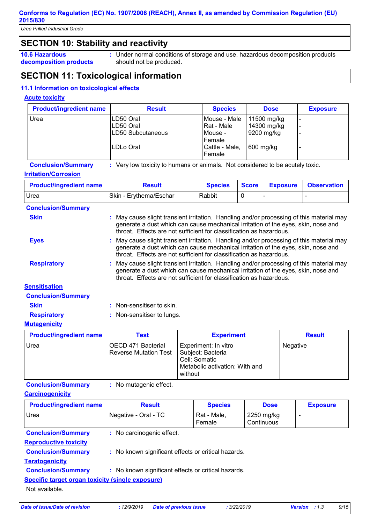*Urea Prilled Industrial Grade*

# **SECTION 10: Stability and reactivity**

**10.6 Hazardous decomposition products** Under normal conditions of storage and use, hazardous decomposition products **:** should not be produced.

# **SECTION 11: Toxicological information**

### **11.1 Information on toxicological effects**

### **Acute toxicity**

| <b>Product/ingredient name</b> | <b>Result</b>          | <b>Species</b>               | <b>Dose</b>                | <b>Exposure</b> |
|--------------------------------|------------------------|------------------------------|----------------------------|-----------------|
| Urea                           | LD50 Oral<br>LD50 Oral | Mouse - Male<br>l Rat - Male | 11500 mg/kg<br>14300 mg/kg |                 |
|                                | LD50 Subcutaneous      | Mouse -<br>Female            | 9200 mg/kg                 |                 |
|                                | ILDLo Oral             | Cattle - Male,<br>Female     | 600 mg/kg                  |                 |

**Conclusion/Summary :** Very low toxicity to humans or animals. Not considered to be acutely toxic.

### **Irritation/Corrosion**

| <b>Product/ingredient name</b> | Result                 | <b>Species</b> | <b>Score</b> | <b>Exposure Observation</b> |
|--------------------------------|------------------------|----------------|--------------|-----------------------------|
| Urea                           | Skin - Erythema/Eschar | Rabbit         |              |                             |

| <b>Conclusion/Summary</b> |                                                                                                                                                                                                                                                      |  |
|---------------------------|------------------------------------------------------------------------------------------------------------------------------------------------------------------------------------------------------------------------------------------------------|--|
| <b>Skin</b>               | : May cause slight transient irritation. Handling and/or processing of this material may<br>generate a dust which can cause mechanical irritation of the eyes, skin, nose and<br>throat. Effects are not sufficient for classification as hazardous. |  |
| <b>Eyes</b>               | : May cause slight transient irritation. Handling and/or processing of this material may<br>generate a dust which can cause mechanical irritation of the eyes, skin, nose and<br>throat. Effects are not sufficient for classification as hazardous. |  |
| <b>Respiratory</b>        | : May cause slight transient irritation. Handling and/or processing of this material may<br>generate a dust which can cause mechanical irritation of the eyes, skin, nose and<br>throat. Effects are not sufficient for classification as hazardous. |  |
| <b>Sensitisation</b>      |                                                                                                                                                                                                                                                      |  |
| <b>Conclusion/Summary</b> |                                                                                                                                                                                                                                                      |  |
| <b>Skin</b>               | : Non-sensitiser to skin.                                                                                                                                                                                                                            |  |
|                           |                                                                                                                                                                                                                                                      |  |

### **Respiratory :** Non-sensitiser to lungs.

### **Mutagenicity**

| <b>Product/ingredient name</b> | Test                                               | <b>Experiment</b>                                                                                       | <b>Result</b> |
|--------------------------------|----------------------------------------------------|---------------------------------------------------------------------------------------------------------|---------------|
| <b>Urea</b>                    | OECD 471 Bacterial<br><b>Reverse Mutation Test</b> | Experiment: In vitro<br>Subject: Bacteria<br>Cell: Somatic<br>Metabolic activation: With and<br>without | Negative      |

**Conclusion/Summary :** No mutagenic effect.

**Carcinogenicity**

| <b>Product/ingredient name</b>                                                   | <b>Result</b>             | <b>Species</b>        | <b>Dose</b>              | <b>Exposure</b> |  |
|----------------------------------------------------------------------------------|---------------------------|-----------------------|--------------------------|-----------------|--|
| Urea                                                                             | Negative - Oral - TC      | Rat - Male,<br>Female | 2250 mg/kg<br>Continuous |                 |  |
| <b>Conclusion/Summary</b>                                                        | : No carcinogenic effect. |                       |                          |                 |  |
| <b>Reproductive toxicity</b>                                                     |                           |                       |                          |                 |  |
| <b>Conclusion/Summary</b><br>: No known significant effects or critical hazards. |                           |                       |                          |                 |  |
| <b>Teratogenicity</b>                                                            |                           |                       |                          |                 |  |
| <b>Conclusion/Summary</b><br>: No known significant effects or critical hazards. |                           |                       |                          |                 |  |
| Specific target organ toxicity (single exposure)                                 |                           |                       |                          |                 |  |
| Not available.                                                                   |                           |                       |                          |                 |  |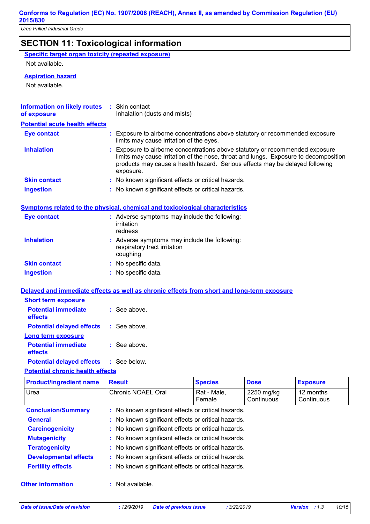# **SECTION 11: Toxicological information**

|--|

Not available.

### **Aspiration hazard**

Not available.

| <b>Information on likely routes</b><br>of exposure | : Skin contact<br>Inhalation (dusts and mists)                                                                                                                                                                                                                     |
|----------------------------------------------------|--------------------------------------------------------------------------------------------------------------------------------------------------------------------------------------------------------------------------------------------------------------------|
| <b>Potential acute health effects</b>              |                                                                                                                                                                                                                                                                    |
| Eye contact                                        | : Exposure to airborne concentrations above statutory or recommended exposure<br>limits may cause irritation of the eyes.                                                                                                                                          |
| <b>Inhalation</b>                                  | : Exposure to airborne concentrations above statutory or recommended exposure<br>limits may cause irritation of the nose, throat and lungs. Exposure to decomposition<br>products may cause a health hazard. Serious effects may be delayed following<br>exposure. |
| <b>Skin contact</b>                                | : No known significant effects or critical hazards.                                                                                                                                                                                                                |
| <b>Ingestion</b>                                   | : No known significant effects or critical hazards.                                                                                                                                                                                                                |

#### **Symptoms related to the physical, chemical and toxicological characteristics**

| <b>Eye contact</b>  | : Adverse symptoms may include the following:<br>irritation<br>redness                    |
|---------------------|-------------------------------------------------------------------------------------------|
| <b>Inhalation</b>   | : Adverse symptoms may include the following:<br>respiratory tract irritation<br>coughing |
| <b>Skin contact</b> | : No specific data.                                                                       |
| <b>Ingestion</b>    | : No specific data.                                                                       |

### **Delayed and immediate effects as well as chronic effects from short and long-term exposure**

| <b>Short term exposure</b>            |                |
|---------------------------------------|----------------|
| <b>Potential immediate</b><br>effects | $:$ See above. |
| <b>Potential delayed effects</b>      | : See above.   |
| Long term exposure                    |                |
| <b>Potential immediate</b><br>effects | $:$ See above. |
| <b>Potential delayed effects</b>      | : See below.   |

### **Potential chronic health effects**

| <b>Product/ingredient name</b> | <b>Result</b>                                       | <b>Species</b>                                      | <b>Dose</b>              | <b>Exposure</b>         |  |  |
|--------------------------------|-----------------------------------------------------|-----------------------------------------------------|--------------------------|-------------------------|--|--|
| Urea                           | Chronic NOAEL Oral                                  | Rat - Male,<br>Female                               | 2250 mg/kg<br>Continuous | 12 months<br>Continuous |  |  |
| <b>Conclusion/Summary</b>      | : No known significant effects or critical hazards. |                                                     |                          |                         |  |  |
| <b>General</b>                 | : No known significant effects or critical hazards. |                                                     |                          |                         |  |  |
| <b>Carcinogenicity</b>         |                                                     | : No known significant effects or critical hazards. |                          |                         |  |  |
| <b>Mutagenicity</b>            | : No known significant effects or critical hazards. |                                                     |                          |                         |  |  |
| <b>Teratogenicity</b>          | : No known significant effects or critical hazards. |                                                     |                          |                         |  |  |
| <b>Developmental effects</b>   | : No known significant effects or critical hazards. |                                                     |                          |                         |  |  |
| <b>Fertility effects</b>       | : No known significant effects or critical hazards. |                                                     |                          |                         |  |  |
| <b>Other information</b>       | : Not available.                                    |                                                     |                          |                         |  |  |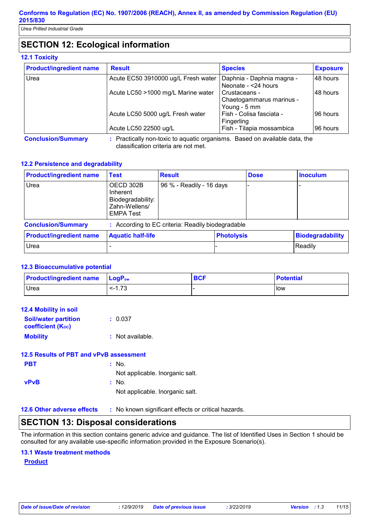*Urea Prilled Industrial Grade*

# **SECTION 12: Ecological information**

### **12.1 Toxicity**

| <b>Product/ingredient name</b> | <b>Result</b>                                                              | <b>Species</b>                                            | <b>Exposure</b> |
|--------------------------------|----------------------------------------------------------------------------|-----------------------------------------------------------|-----------------|
| Urea                           | Acute EC50 3910000 ug/L Fresh water                                        | Daphnia - Daphnia magna -<br>Neonate - <24 hours          | 48 hours        |
|                                | Acute LC50 >1000 mg/L Marine water                                         | Crustaceans -<br>Chaetogammarus marinus -<br>Young - 5 mm | 48 hours        |
|                                | Acute LC50 5000 ug/L Fresh water                                           | Fish - Colisa fasciata -<br>Fingerling                    | 96 hours        |
|                                | Acute LC50 22500 ug/L                                                      | Fish - Tilapia mossambica                                 | 96 hours        |
| <b>Conclusion/Summary</b>      | : Practically non-toxic to aquatic organisms. Based on available data, the |                                                           |                 |

classification criteria are not met.

### **12.2 Persistence and degradability**

| <b>Product/ingredient name</b> | <b>Test</b>                                                                     | <b>Result</b>                                     |                   | <b>Dose</b> | <b>Inoculum</b>  |
|--------------------------------|---------------------------------------------------------------------------------|---------------------------------------------------|-------------------|-------------|------------------|
| Urea                           | OECD 302B<br>Inherent<br>Biodegradability:<br>Zahn-Wellens/<br><b>EMPA Test</b> | 96 % - Readily - 16 days                          |                   |             |                  |
| <b>Conclusion/Summary</b>      |                                                                                 | : According to EC criteria: Readily biodegradable |                   |             |                  |
| <b>Product/ingredient name</b> | <b>Aquatic half-life</b>                                                        |                                                   | <b>Photolysis</b> |             | Biodegradability |
|                                |                                                                                 |                                                   |                   |             |                  |

### **12.3 Bioaccumulative potential**

| <b>Product/ingredient name LogPow</b> |         | <b>BCF</b> | <b>Potential</b> |
|---------------------------------------|---------|------------|------------------|
| <b>Urea</b>                           | $-1.73$ |            | <b>I</b> low     |

Urea - - Readily

| <b>12.4 Mobility in soil</b>                            |                    |
|---------------------------------------------------------|--------------------|
| <b>Soil/water partition</b><br><b>coefficient (Koc)</b> | : 0.037            |
| <b>Mobility</b>                                         | $:$ Not available. |
| 12.5 Results of PBT and vPvB assessment                 |                    |

| <b>PBT</b>  | : No.                           |
|-------------|---------------------------------|
|             | Not applicable. Inorganic salt. |
| <b>vPvB</b> | : No.                           |
|             | Not applicable. Inorganic salt. |

**12.6 Other adverse effects** : No known significant effects or critical hazards.

### **SECTION 13: Disposal considerations**

The information in this section contains generic advice and guidance. The list of Identified Uses in Section 1 should be consulted for any available use-specific information provided in the Exposure Scenario(s).

### **13.1 Waste treatment methods**

**Product**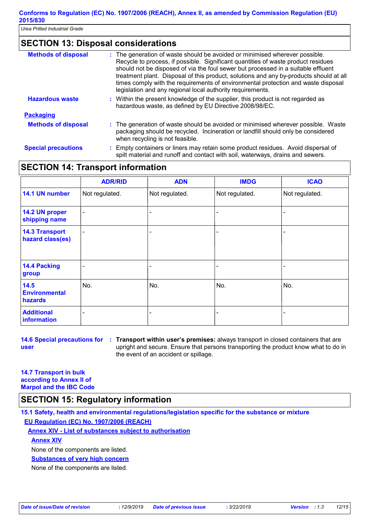### **SECTION 13: Disposal considerations**

| <b>Methods of disposal</b> | The generation of waste should be avoided or minimised wherever possible.<br>Recycle to process, if possible. Significant quantities of waste product residues<br>should not be disposed of via the foul sewer but processed in a suitable effluent<br>treatment plant. Disposal of this product, solutions and any by-products should at all<br>times comply with the requirements of environmental protection and waste disposal<br>legislation and any regional local authority requirements. |
|----------------------------|--------------------------------------------------------------------------------------------------------------------------------------------------------------------------------------------------------------------------------------------------------------------------------------------------------------------------------------------------------------------------------------------------------------------------------------------------------------------------------------------------|
| <b>Hazardous waste</b>     | : Within the present knowledge of the supplier, this product is not regarded as<br>hazardous waste, as defined by EU Directive 2008/98/EC.                                                                                                                                                                                                                                                                                                                                                       |
| <b>Packaging</b>           |                                                                                                                                                                                                                                                                                                                                                                                                                                                                                                  |
| <b>Methods of disposal</b> | : The generation of waste should be avoided or minimised wherever possible. Waste<br>packaging should be recycled. Incineration or landfill should only be considered<br>when recycling is not feasible.                                                                                                                                                                                                                                                                                         |
| <b>Special precautions</b> | Empty containers or liners may retain some product residues. Avoid dispersal of<br>spilt material and runoff and contact with soil, waterways, drains and sewers.                                                                                                                                                                                                                                                                                                                                |

### **SECTION 14: Transport information**

|                                           | <b>ADR/RID</b>           | <b>ADN</b>               | <b>IMDG</b>    | <b>ICAO</b>    |
|-------------------------------------------|--------------------------|--------------------------|----------------|----------------|
| 14.1 UN number                            | Not regulated.           | Not regulated.           | Not regulated. | Not regulated. |
| 14.2 UN proper<br>shipping name           | $\overline{\phantom{a}}$ | -                        |                |                |
| <b>14.3 Transport</b><br>hazard class(es) | $\overline{\phantom{0}}$ | $\overline{\phantom{0}}$ |                |                |
| 14.4 Packing<br>group                     |                          |                          |                |                |
| 14.5<br><b>Environmental</b><br>hazards   | No.                      | No.                      | No.            | No.            |
| <b>Additional</b><br>information          |                          |                          |                |                |

**user**

**14.6 Special precautions for : Transport within user's premises:** always transport in closed containers that are upright and secure. Ensure that persons transporting the product know what to do in the event of an accident or spillage.

**14.7 Transport in bulk according to Annex II of Marpol and the IBC Code**

### **SECTION 15: Regulatory information**

**15.1 Safety, health and environmental regulations/legislation specific for the substance or mixture EU Regulation (EC) No. 1907/2006 (REACH)**

**Annex XIV - List of substances subject to authorisation**

### **Annex XIV**

None of the components are listed.

### **Substances of very high concern**

None of the components are listed.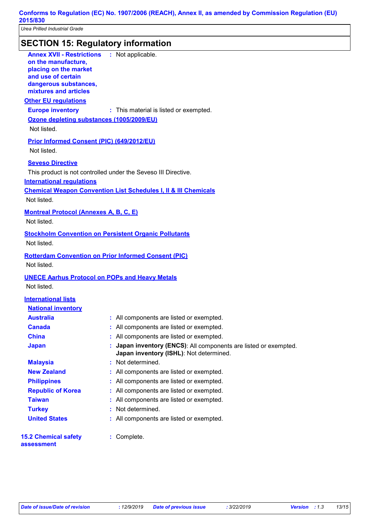# **SECTION 15: Regulatory information**

| <u>olonon 10. nogalalong ililomladion</u>                                                                                                                                  |                                                                                                           |
|----------------------------------------------------------------------------------------------------------------------------------------------------------------------------|-----------------------------------------------------------------------------------------------------------|
| <b>Annex XVII - Restrictions : Not applicable.</b><br>on the manufacture,<br>placing on the market<br>and use of certain<br>dangerous substances,<br>mixtures and articles |                                                                                                           |
| <b>Other EU requlations</b>                                                                                                                                                |                                                                                                           |
| <b>Europe inventory</b>                                                                                                                                                    | : This material is listed or exempted.                                                                    |
| Ozone depleting substances (1005/2009/EU)                                                                                                                                  |                                                                                                           |
| Not listed.                                                                                                                                                                |                                                                                                           |
| Prior Informed Consent (PIC) (649/2012/EU)                                                                                                                                 |                                                                                                           |
| Not listed.                                                                                                                                                                |                                                                                                           |
| <b>Seveso Directive</b>                                                                                                                                                    |                                                                                                           |
|                                                                                                                                                                            | This product is not controlled under the Seveso III Directive.                                            |
| <b>International regulations</b>                                                                                                                                           |                                                                                                           |
|                                                                                                                                                                            | <b>Chemical Weapon Convention List Schedules I, II &amp; III Chemicals</b>                                |
| Not listed.                                                                                                                                                                |                                                                                                           |
| <b>Montreal Protocol (Annexes A, B, C, E)</b>                                                                                                                              |                                                                                                           |
| Not listed.                                                                                                                                                                |                                                                                                           |
|                                                                                                                                                                            |                                                                                                           |
| Not listed.                                                                                                                                                                | <b>Stockholm Convention on Persistent Organic Pollutants</b>                                              |
|                                                                                                                                                                            |                                                                                                           |
|                                                                                                                                                                            | <b>Rotterdam Convention on Prior Informed Consent (PIC)</b>                                               |
| Not listed.                                                                                                                                                                |                                                                                                           |
|                                                                                                                                                                            | <b>UNECE Aarhus Protocol on POPs and Heavy Metals</b>                                                     |
| Not listed.                                                                                                                                                                |                                                                                                           |
| <b>International lists</b>                                                                                                                                                 |                                                                                                           |
| <b>National inventory</b>                                                                                                                                                  |                                                                                                           |
| <b>Australia</b>                                                                                                                                                           | : All components are listed or exempted.                                                                  |
| <b>Canada</b>                                                                                                                                                              | : All components are listed or exempted.                                                                  |
| <b>China</b>                                                                                                                                                               | All components are listed or exempted.                                                                    |
| <b>Japan</b>                                                                                                                                                               | Japan inventory (ENCS): All components are listed or exempted.<br>Japan inventory (ISHL): Not determined. |
| <b>Malaysia</b>                                                                                                                                                            | : Not determined.                                                                                         |
| <b>New Zealand</b>                                                                                                                                                         | All components are listed or exempted.                                                                    |
| <b>Philippines</b>                                                                                                                                                         | All components are listed or exempted.                                                                    |
| <b>Republic of Korea</b>                                                                                                                                                   | All components are listed or exempted.                                                                    |
| <b>Taiwan</b>                                                                                                                                                              | All components are listed or exempted.                                                                    |
| <b>Turkey</b>                                                                                                                                                              | Not determined.                                                                                           |
| <b>United States</b>                                                                                                                                                       | All components are listed or exempted.                                                                    |
|                                                                                                                                                                            |                                                                                                           |
| <b>15.2 Chemical safety</b><br>assessment                                                                                                                                  | : Complete.                                                                                               |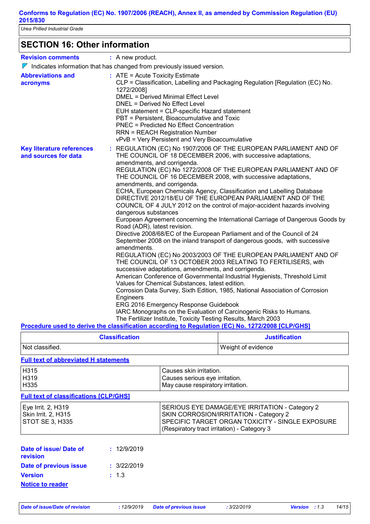*Urea Prilled Industrial Grade*

### **SECTION 16: Other information**

| <b>Revision comments</b>                                 | : A new product.                                                                                                                                                                                                                                                                                                                                                                                                                                                                                                                                                                                                                                                                                                                                                                                                                                                                                                                                                                                                                                                                                                                                                                                                                                                                                                                                                                                                                                                                    |
|----------------------------------------------------------|-------------------------------------------------------------------------------------------------------------------------------------------------------------------------------------------------------------------------------------------------------------------------------------------------------------------------------------------------------------------------------------------------------------------------------------------------------------------------------------------------------------------------------------------------------------------------------------------------------------------------------------------------------------------------------------------------------------------------------------------------------------------------------------------------------------------------------------------------------------------------------------------------------------------------------------------------------------------------------------------------------------------------------------------------------------------------------------------------------------------------------------------------------------------------------------------------------------------------------------------------------------------------------------------------------------------------------------------------------------------------------------------------------------------------------------------------------------------------------------|
|                                                          | $\nabla$ Indicates information that has changed from previously issued version.                                                                                                                                                                                                                                                                                                                                                                                                                                                                                                                                                                                                                                                                                                                                                                                                                                                                                                                                                                                                                                                                                                                                                                                                                                                                                                                                                                                                     |
| <b>Abbreviations and</b><br>acronyms                     | $:$ ATE = Acute Toxicity Estimate<br>CLP = Classification, Labelling and Packaging Regulation [Regulation (EC) No.<br>1272/2008]<br>DMEL = Derived Minimal Effect Level<br>DNEL = Derived No Effect Level<br>EUH statement = CLP-specific Hazard statement<br>PBT = Persistent, Bioaccumulative and Toxic<br><b>PNEC = Predicted No Effect Concentration</b><br><b>RRN = REACH Registration Number</b><br>vPvB = Very Persistent and Very Bioaccumulative                                                                                                                                                                                                                                                                                                                                                                                                                                                                                                                                                                                                                                                                                                                                                                                                                                                                                                                                                                                                                           |
| <b>Key literature references</b><br>and sources for data | : REGULATION (EC) No 1907/2006 OF THE EUROPEAN PARLIAMENT AND OF<br>THE COUNCIL OF 18 DECEMBER 2006, with successive adaptations,<br>amendments, and corrigenda.<br>REGULATION (EC) No 1272/2008 OF THE EUROPEAN PARLIAMENT AND OF<br>THE COUNCIL OF 16 DECEMBER 2008, with successive adaptations,<br>amendments, and corrigenda.<br>ECHA, European Chemicals Agency, Classification and Labelling Database<br>DIRECTIVE 2012/18/EU OF THE EUROPEAN PARLIAMENT AND OF THE<br>COUNCIL OF 4 JULY 2012 on the control of major-accident hazards involving<br>dangerous substances<br>European Agreement concerning the International Carriage of Dangerous Goods by<br>Road (ADR), latest revision.<br>Directive 2008/68/EC of the European Parliament and of the Council of 24<br>September 2008 on the inland transport of dangerous goods, with successive<br>amendments.<br>REGULATION (EC) No 2003/2003 OF THE EUROPEAN PARLIAMENT AND OF<br>THE COUNCIL OF 13 OCTOBER 2003 RELATING TO FERTILISERS, with<br>successive adaptations, amendments, and corrigenda.<br>American Conference of Governmental Industrial Hygienists, Threshold Limit<br>Values for Chemical Substances, latest edition.<br>Corrosion Data Survey, Sixth Edition, 1985, National Association of Corrosion<br>Engineers<br>ERG 2016 Emergency Response Guidebook<br>IARC Monographs on the Evaluation of Carcinogenic Risks to Humans.<br>The Fertilizer Institute, Toxicity Testing Results, March 2003 |
|                                                          | Procedure used to derive the classification according to Regulation (EC) No. 1272/2008 [CLP/GHS]                                                                                                                                                                                                                                                                                                                                                                                                                                                                                                                                                                                                                                                                                                                                                                                                                                                                                                                                                                                                                                                                                                                                                                                                                                                                                                                                                                                    |

| <b>Classification</b> |  | Justification |
|-----------------------|--|---------------|

| Not classified.                         | Weight of evidence |
|-----------------------------------------|--------------------|
| . Eall tout of abboardeted Histoireache |                    |

#### **Full text of abbreviated H statements**

| <b>H315</b> | Causes skin irritation.           |
|-------------|-----------------------------------|
| H319        | Causes serious eye irritation.    |
| H335        | May cause respiratory irritation. |

#### **Full text of classifications [CLP/GHS]**

| Eye Irrit. 2, H319     | SERIOUS EYE DAMAGE/EYE IRRITATION - Category 2     |
|------------------------|----------------------------------------------------|
| Skin Irrit. 2, H315    | SKIN CORROSION/IRRITATION - Category 2             |
| <b>STOT SE 3, H335</b> | I SPECIFIC TARGET ORGAN TOXICITY - SINGLE EXPOSURE |
|                        | (Respiratory tract irritation) - Category 3        |

| Date of issue/ Date of<br>revision | : 12/9/2019 |
|------------------------------------|-------------|
| Date of previous issue             | : 3/22/2019 |
| <b>Version</b>                     | : 1.3       |
| <b>Notice to reader</b>            |             |